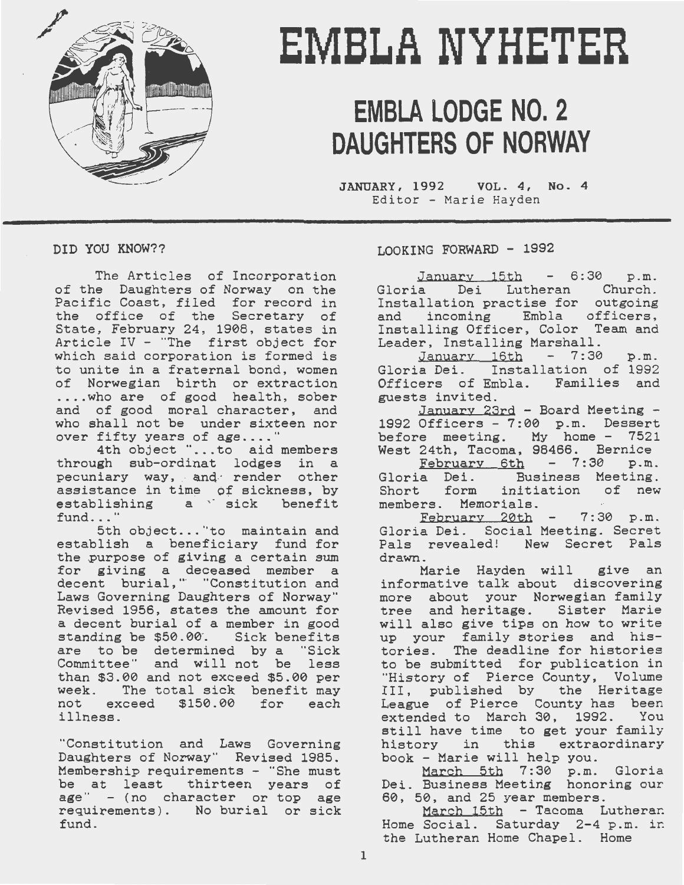

# **EMBLA NYHETER**

## **EMBLA LODGE NO. 2 DAUGHTERS OF NORWAY**

JANUARY, 1992 VOL. 4, No. 4 Editor - Marie Hayden

DID YOU KNOW??

The Articles of Incorporation of the Daughters of Norway on the Pacific Coast, filed for record in the office of the Secretary of State, February 24, 1908, states in Article IV - "The first object for which said corporation is formed is to unite in a fraternal bond, women of Norwegian birth or extraction .... who are of good health, sober and of good moral character, and who shall not be under sixteen nor over fifty years of age...."

4th object " ... to aid members through sub-ordinat lodges in a pecuniary way, and render other assistance in time of sickness, by establishing a sick benefit fund..."

5th object..."to maintain and establish a beneficiary fund for the purpose of giving a certain sum for giving a deceased member a not giving a accodicat member a Laws Governing Daughters of Norway" Revised 1956, states the amount for a decent burial of a member in good standing be \$50.00. Sick benefits are to be determined by a "Sick Committee" and will not be less than \$3.00 and not exceed \$5.00 per week. The total sick benefit may not exceed \$150.00 for each illness.

"Constitution and Laws Governing Daughters of Norway" Revised 1985. Membership requirements - "She must be at least thirteen years of age" - (no character or top age requirements). No burial or sick fund.

LOOKING FORWARD - 1992

 $January 15th - 6:30 p.m.$ Gloria Dei Lutheran Church. Installation practise for outgoing and incoming Embla officers, Installing Officer, Color Team and Leader, Installing Marshall.

January 16th - 7:30 p.m. Gloria Dei. Installation of 1992 Officers of Embla. Families and guests invited.

January 23rd - Board Meeting - 1992 Officers - 7:00 p.m. Dessert before meeting. My home - 7521 West 24th, Tacoma, 98466. Bernice

 $February$  6th  $-7:30$  p.m. Gloria Dei. Business Meeting.<br>Short form initiation of new Short form members. Memorials.

 $February$   $20th$  -  $7:30$  p.m. Gloria Dei. Social Meeting. Secret Pals revealed! New Secret Pals drawn.

Marie Hayden will give an informative talk about discovering more about your Norwegian family tree and heritage. Sister Marie will alao give tips on how to write will disc gree or to the so write tories. The deadline for histories to be submitted for publication in "History of Pierce County, Volume III, published by the Heritage League of Pierce County has been<br>extended to March 30. 1992. You extended to March 30, 1992. still have time to get your family history in this extraordinary book - Marie will help you.

March 5th 7:30 p.m. Gloria Dei. Business Meeting honoring our 60, 50, and 25 year members.

March 15th - Tacoma Lutheran Home Social. Saturday 2-4 p.m. in the Lutheran Home Chapel. Home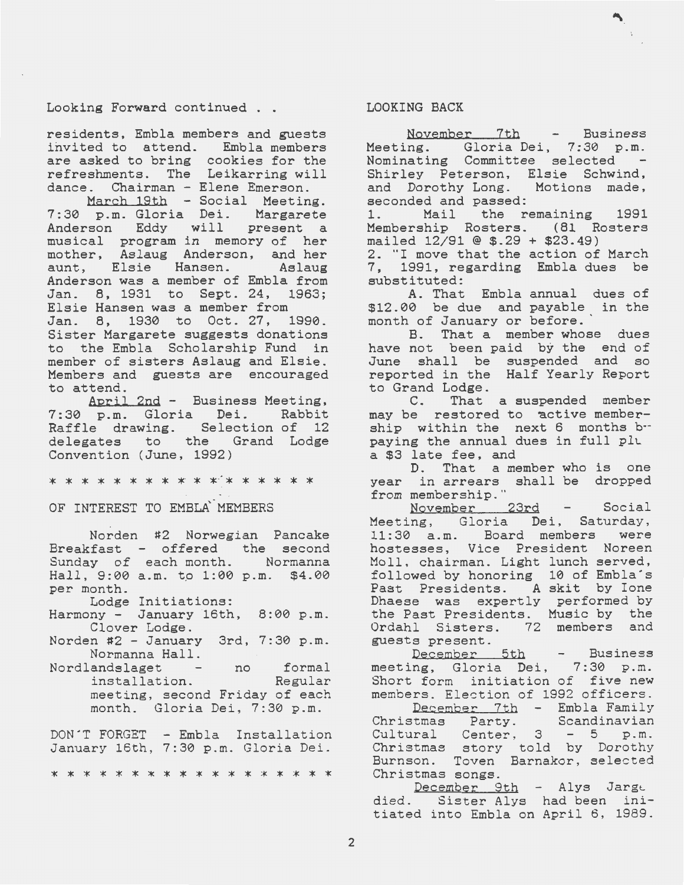Looking Forward continued . .

residents, Embla members and guesta invited to attend. Embla members are asked to bring cookies for the refreshments. The Leikarring will dance. Chairman - Elene Emerson.

March 19th - Social Meeting. 7:30 p.m. Gloria Dei. Margarete Anderson Eddy will present a musical program in memory of her mother, Aslaug Anderson, and her aunt, Elsie Hansen. Aslaug Anderson was a member of Embla from Jan. 8, 1931 to Sept. 24, 1963; Elsie Hansen was a member from Jan. 8, 1930 to Oct. 27, 1990. Sister Margarete suggests donations to the Embla Scholarship Fund in member of sisters Aslaug and Elsie. Members and guests are encouraged to attend.

April 2nd - Business Meeting, 7:30 p.m. G1oria Dei. Rabbit Raffle drawing. Selection of 12 delegates to the Grand Lodge Convention (June, 1992)

\* \* \* \* \* \* \* \* \* \* \* \* \* \* \* \* \*

OF INTEREST TO EMBLA MEMBERS

Norden #2 Norwegian Pancake Breakfast Sunday of Hall, 9:00 a.m. to 1:00 p.m. \$4.00 per month. offered the second each month. Normanna

Lodge Initiations:

Harmony - January 16th, 8:00 p.m. Clover Lodge.

- Norden #2 January 3rd, 7:30 p.m. Normanna Hall.
- Nordlandslaget no formal<br>installation. Regular installation. meeting, second Friday of each month. Gloria Dei, 7:30 p.m.

DON'T FORGET - Embla Installation January 16th, 7:30 p.m. Gloria Dei.

\* \* \* \* \* \* \* \* \* \* \* \* \* \* \* \* \*

#### LOOKING BACK

November 7th - Business Meeting. Gloria Dei, 7:30 p.m. Nominating Committee selected Shirley Peterson, Elsie Schwind, and Dorothy Long. Motions made, aeconded and passed:

1. Mail the remaining 1991 Membership Rosters. (81 Rosters mailed 12/91 @ \$.29 + \$23.49) 2. "I move that the action of March<br>7. 1991, regarding Embla dues be 1991, regarding Embla dues be substituted:

A. That Embla annual dues of \$12.00 be due and payable in the month of January or before. '

B. That a member whoae dues have not been paid by the end of June shall be suspended and so reported in the Half Yearly Report to Grand Lodge.

C. That a suspended member may be restored to active membership within the next 6 months bpaying the annual dues in full plu a \$3 late fee, and

D. That a member who is one year in arrears shall be dropped from membership."

November 23rd - Social Meeting, Gloria Dei, Saturday, 11:30 a.m. Board members were hostesses, Vice President Noreen Moll, chairman. Light lunch served, followed by honoring 10 of Embla's Fast Presidents. A skit by Ione Dhaese was expertly performed by the Fast Presidents. Music by the Ordahl Sisters. 72 members and guests present.

December 5th - Business meeting, Gloria Dei, 7:30 p.m. Short form initiation of five new members. Election of 1992 officers. December 7th - Embla Family

Christmas Party. Scandinavian Cultural Center,  $3 - 5 p.m.$ Christmas story told by Dorothy Burnson. Toven Barnakor, selected Christmas songs.

December 9th - Alys Jarge died. Sister Alys had been initiated into Embla on April 6, 1989.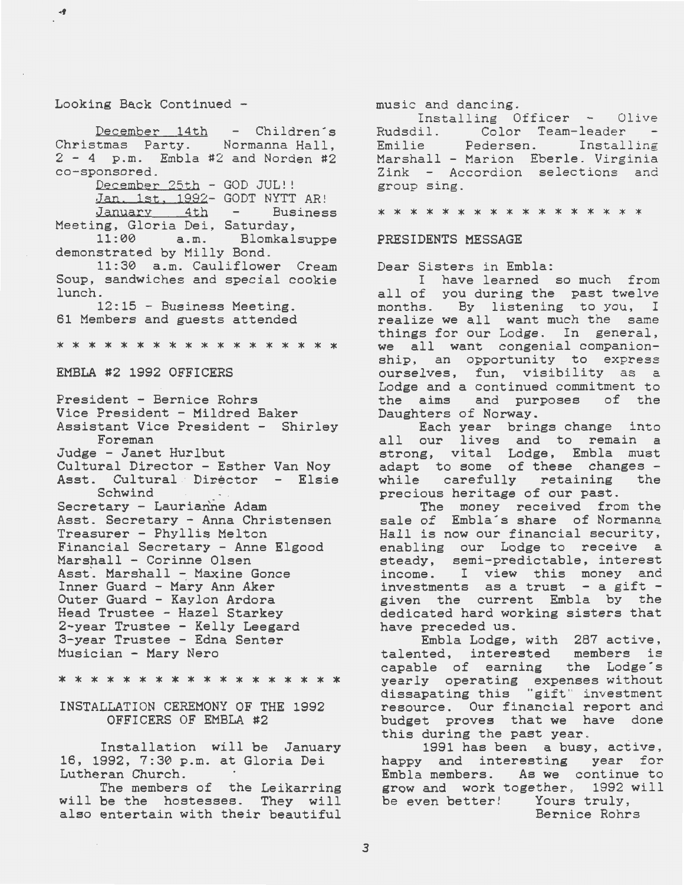#### Looking Back Continued -

 $-9$ 

December 14th - Children's Christmas Party. Normanna Hall, 2 - 4 p.m. Embla #2 and Norden #2 co-sponsored.

December 25th - GOD JUL!!

Jan. 1st, 1992- GODT NYTT AR! January 4th - Business Meeting, Gloria Dei, Saturday,

11:00 a.m. Blomkalsuppe demonstrated by Milly Bond.

11:30 a.m. Cauliflower Cream Soup, sandwiches and special cookie lunch.

12:15 - Business Meeting. 61 Members and guests attended

\* \* \* \* \* \* \* \* \* \* \* \* \* \* \* \* \*

#### EMBLA #2 1992 OFFICERS

President - Bernice Rohrs Vice President - Mildred Baker Assistant Vice President - Shirley Foreman Judge - Janet Hurlbut Cultural Director - Esther Van Noy Asst. Cultural Director - Elsie Schwind Secretary - Laurianne Adam Asst. Secretary - Anna Christensen Treasurer - Phyllis Melton Financial Secretary - Anne Elgood Marshall - Corinne Olsen Asst'. Marshall - Maxine Gonce Inner Guard - Mary Ann Aker Outer Guard - Kaylon Ardora Head Trustee - Hazel Starkey 2-year Trustee - Kelly Leegard 3-year Trustee - Edna Senter Musician - Mary Nero

\* \* \* \* \* \* \* \* \* \* \* \* \* \* \* \* \* \*

#### INSTALLATION CEREMONY OF THE 1992 OFFICERS OF EMBLA #2

Installation will be January 16, 1992, 7:30 p.m. at Gloria Dei Lutheran Church.

The members of the Leikarring will be the hostesses. They will also entertain with their beautiful

music and dancing.<br>Installing Officer - Olive Rudsdil. Color Team-leader Emilie Pedersen. Installing Marshall - Marion Eberle. Virginia Zink - Accordion selections and group sing.

#### \* \* \* \* \* \* \* \* \* \* \* \* \* \* \* \*

#### PRESIDENTS MESSAGE

Dear Sisters in Embla:

I have learned so much from all of you during the past twelve and the you during the pape shows. months. By insteming to you, I things for our Lodge. In general, we all want congenial companionship, an opportunity to express ourselves, fun, visibility as a Lodge and a continued commitment to the aims and purposes of the Daughters of Norway.

Each year brings change into all our lives and to remain a ail our lives and oo remain a adapt to some of these changes - while carefully retaining the while carefully retaining the<br>precious heritage of our past.

The money received from the sale of Embla's share of Normanna Hall is now our financial security, enabling our Lodge to receive a steady, semi-predictable, interest income. I view this money and<br>investments as a trust - a gift given the current Embla by the dedicated hard working sisters that have preceded us.

Embla Lodge, with 287 active, talented, interested members is capable of earning the Lodge·s yearly operating expenses without dissapating this "gift" investment resource. Our financial report and budget proves that we have done<br>this during the past year.

1991 has been a busy, active, happy and interesting year for Embla members. As we continue to grow and work together, 1992 will be even better! Yours truly, Bernice Rohrs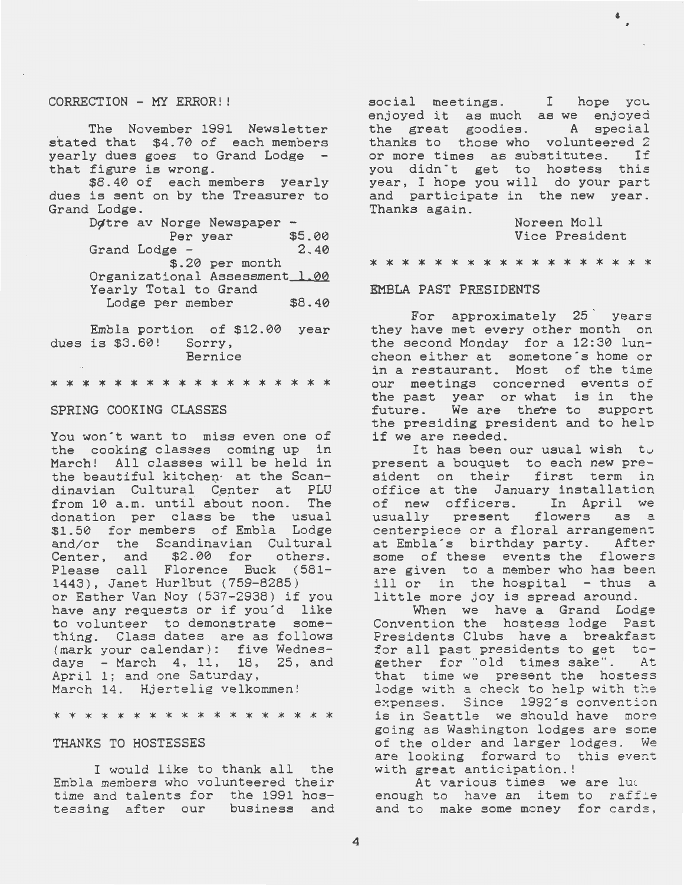#### CORRECTION - MY ERROR! !

The November 1991 Newsletter stated that \$4.70 of each members yearly dues goes to Grand Lodge that figure is wrong.

\$8.40 of each members yearly dues is sent on by the Treasurer to Grand Lodge.

Dotre av Norge Newspaper –<br>Per year \$5.00<br>Grand Lodge – 2.40 Grand Lodge -\$.20 per month Organizational Assessment\_1.00 Yearly Total to Grand Lodge per member \$8.40

Embla portion of \$12.00 year dues is \$3.60! Sorry, Bernice

\* \* \* \* \* \* \* \* \* \* \* \* \* \* \* \* \*

#### SPRING COOKING CLASSES

You won't want to miss even one of the cooking classes coming up in March! All classes will be held in the beautiful kitchen<sup>.</sup> at the Scandinavian Cultural Center at PLU<br>from 10 a.m. until about noon. The from 10 a.m. until about noon. donation per class be the usual \$1.50 for members of Embla Lodge and/or the Scandinavian Cultural Center, and \$2.00 for others. Please call Florence Buck (581- 1443), Janet Hur1but (759-8285) or Esther Van Noy (537-2938) if you have any requests or if you'd like to volunteer to demonstrate something. Class dates are as follows (mark your calendar): five Wednesdays - March 4, 11, 18, 25, and April 1; and one Saturday, March 14. Hjertelig velkommen!

\* \* \* \* \* \* \* \* \* \* \* \* \* \* \* \* \* \*

#### THANKS TO HOSTESSES

I would like to thank all the Embla members who volunteered their time and talents for the 1991 hos-<br>tessing after our business and tessing after our

social meetings. I hope you enjoyed it as much as we enjoyed the great goodies. A special thanks to those who volunteered 2 or more times as substitutes. If you didn't get to hostess this year, I hope you will do your part and participate in the new year. Thanks again.

> Noreen Moll Vice President

\* \* \* \* \* \* \* \* \* \* \* \* \* \* \* \* \*

#### EMBLA FAST PRESIDENTS

For approximately 25 ' years they have met every other month on the second Monday for a 12:30 luncheon either at sometone's home or in a restaurant. Most of the time our meetings concerned events of the past year or what is in the future. We are there to support the presiding president and to help if we are needed.

It has been our usual wish to present a bouquet to each new president on their first term in office at the January installation of new officers. In April we usually present flowers as a centerpiece or a floral arrangement at Embla's birthday party. After some of these events the flowers are given to a member who has been ill or in the hospital - thus a little more joy is spread around.

When we have a Grand Lodge Convention the hostess lodge Past Presidents Clubs have a breakfast for all past presidents to get tcgether for "old times sake". At that time we present the hostess lodge with a check to help with the expenses. Since 1992's convention is in Seattle we should have more going as Washington lodges are some of the older and larger lodges. We are looking forward to this event with great anticipation. !

At various times we are lue enough to have an item to raffle and to make some money for cards,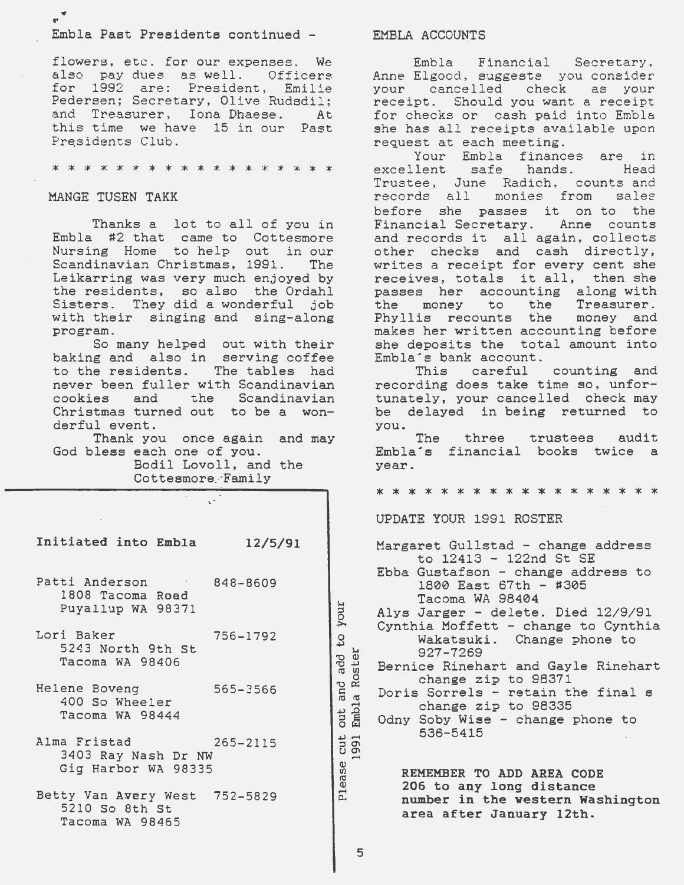#### Embla Past Presidents continued -

flowers, etc. for our expenses. We also pay dues as well. Officers for 1992 are: President, Emilie Pedersen; Secretary, Olive Rudsdil; and Treasurer, Iona Dhaese. At this time we have 15 in our Past Presidents Club.

#### \* \* \* \* \* \* \* \* \* \* \* \* \* \* \*

#### MANGE TUSEN TAKK

Thanks a lot to all of you in Embla #2 that came to Cottesmore Nursing Home to help out in our Scandinavian Christmas, 1991. The Leikarring was very much enjoyed by the residents, so also the Ordahl Sisters. They did a wonderful job with their singing and sing-along program.

So many helped out with their baking and also in serving coffee<br>to the residents. The tables had to the residents. never been fuller with Scandinavian<br>cookies and the Scandinavian the Scandinavian Christmas turned out to be a wonderful event.

Thank you once again and may God bless each one of you.

> Bodil Lovoll, and the Cottesmore Family

| Initiated into Embla                                               | 12/5/91      |
|--------------------------------------------------------------------|--------------|
| Patti Anderson and an<br>1808 Tacoma Road<br>Puyallup WA 98371     | 848-8609     |
| Lori Baker<br>5243 North 9th St<br>Tacoma WA 98406                 | 756-1792     |
| Helene Boveng<br>400 So Wheeler<br>Tacoma WA 98444                 | 565-3566     |
| Alma Fristad<br>3403 Ray Nash Dr NW<br>Gig Harbor WA 98335         | $265 - 2115$ |
| Betty Van Avery West 752-5829<br>5210 So 8th St<br>Tacoma WA 98465 |              |

#### EMBLA ACCOUNTS

Embla Financial Secretary, Anne Elgood, suggests you consider your cancelled check as your receipt. Should you want a receipt for checks or cash paid into Embla she has all receipts available upon request at each meeting.

Your Embla finances are in excellent safe Trustee, June Radich, counts and<br>records all monies from sales records all monies from before she passes it on to the Financial Secretary. Anne counts and records it all again, collects other checks and cash directly, writes a receipt for every cent she receives, totals it all, then she passes her accounting along with<br>the money to the Treasurer. the money to the Treasurer.<br>Phyllis recounts the money and Phyllis recounts the makes her written accounting before she deposits the total amount into Embla's bank account.<br>This careful

counting and recording does take time so, unfortunately, your cancelled check may be delayed in being returned to you.

The Embla's financial books twice a year. three trustees audit

\* \* \* \* \* \* \* \* \* \* \* \* \* \* \* \* \*

UPDATE YOUR 1991 ROSTER

Margaret Gullstad - change address to 12413 - 122nd St SE Ebba Gustafson - change address to 1800 East 67th - #305 Tacoma WA 98404 Alys Jarger - delete. Died 12/9/91 Cynthia Moffett - change to Cynthia Wakatsuki. Change phone to 927-7269 Bernice Rinehart and Gayle Rinehart change zip to 98371 Doris Sorrels - retain the final s change zip to 98335 Odny Soby Wise - change phone to 536-5415

REMEMBER TO ADD AREA CODE 206 to any long distance number in the western Washington area after January 12th.

P1ease

 $cut$ 991

your

 $\frac{0}{2}$ 

add . Roster

and a

Emb<sub>1a</sub> out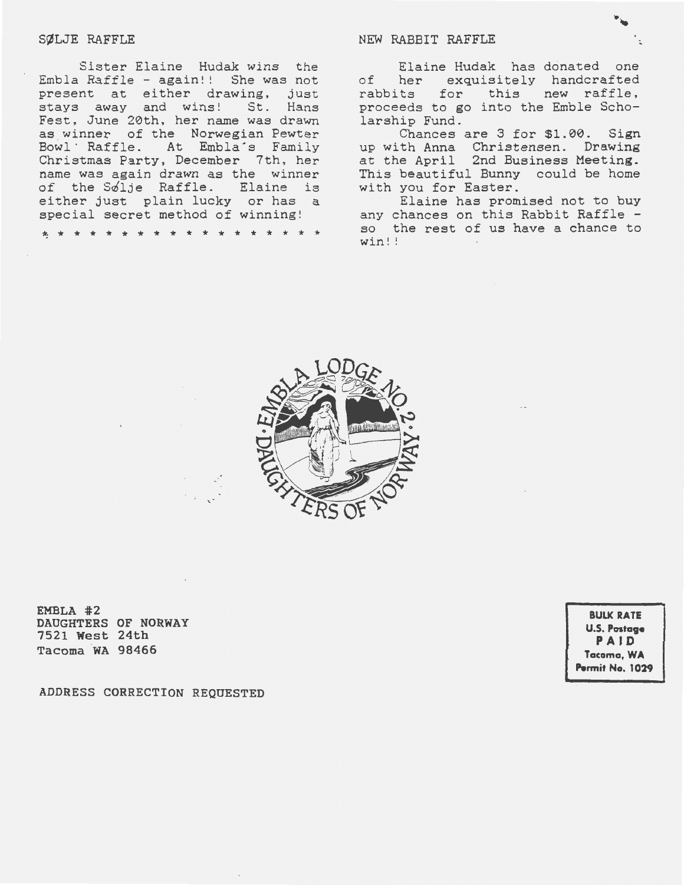#### SØLJE RAFFLE

Sister Elaine Hudak wins the Embla Raffle  $-$  again!! She was not present at either drawing, just stays away and wins! St. Hans Fest, June 2Øth, her name was drawn as winner of the Norwegian Pewter Bowl · Raffle. At Embla's Family Christmas Party, December 7th, her name was again drawn as the winner of the SØlje Raffle. Elaine is either just plain lucky or has a special secret method of winning!

<sup>~</sup>\* \* \* \* \* \* \* \* \* \* \* \* \* \* \* \* \*

#### NEW RABBIT RAFFLE

Elaine Hudak has donated one of her exquisitely handcrafted rabbits for this new raffle, proceeds to go into the Emble Scholarship Fund.

Chances are 3 for \$1.ØØ. Sign up with Anna Christensen. Drawing at the April 2nd Business Meeting. This beautiful Bunny could be home with you for Easter.

Elaine has promised not to buy any chances on this Rabbit Raffle so the rest of us have a chance to win! !



EMBLA #2 DAUGHTERS OF NORWAY 7521 West 24th Tacoma WA 98466

ADDRESS CORRECTION REQUESTED

**BULK RATE U.S. Postag• PA I 0 Tacoma, WA Perm it No. 1029**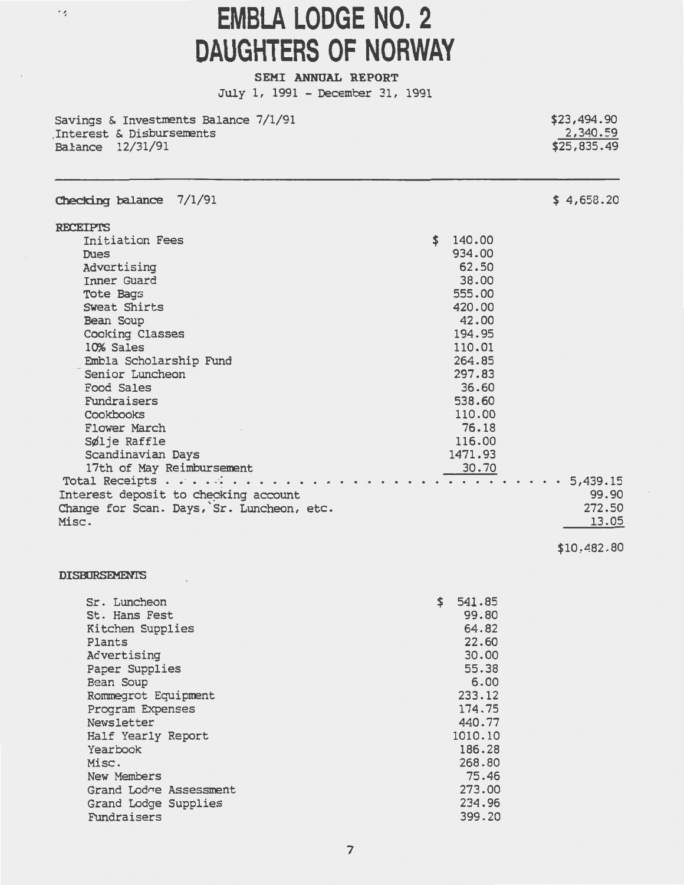### $\cdot$   $\prime$

### **EMBLA LODGE NO. 2** DAUGHTERS OF NORWAY

SEMI ANNUAL REPORT July 1, 1991 - December 31, 1991

\$23,494.90 Savings & Investments Balance 7/1/91 2,340.59 Interest & Disbursements  $$25,835.49$ Balance 12/31/91

| Checking balance |  | 7/1/91 |
|------------------|--|--------|
|------------------|--|--------|

| <b>RECEIPTS</b>                           |              |
|-------------------------------------------|--------------|
| Initiation Fees                           | \$<br>140.00 |
| Dues                                      | 934.00       |
| Advertising                               | 62.50        |
| Inner Guard                               | 38.00        |
| Tote Bags                                 | 555.00       |
| Sweat Shirts                              | 420.00       |
| Bean Soup                                 | 42.00        |
| Cooking Classes                           | 194.95       |
| 10% Sales                                 | 110.01       |
| Embla Scholarship Fund                    | 264.85       |
| Senior Luncheon                           | 297.83       |
| Food Sales                                | 36.60        |
| Fundraisers                               | 538.60       |
| Cookbooks                                 | 110.00       |
| Flower March                              | 76.18        |
| Sølje Raffle                              | 116.00       |
| Scandinavian Days                         | 1471.93      |
| 17th of May Reimbursement                 | 30.70        |
| Total Receipts                            | 5,439.15     |
| Interest deposit to checking account      | 99.90        |
| Change for Scan. Days, Sr. Luncheon, etc. | 272.50       |
| Misc.                                     | 13.09        |
|                                           |              |

#### \$10,482.80

 $$4,658.20$ 

#### **DISBURSEMENTS**

| Sr. Luncheon           | \$<br>541.85 |
|------------------------|--------------|
| St. Hans Fest          | 99.80        |
| Kitchen Supplies       | 64.82        |
| Plants                 | 22.60        |
| Advertising            | 30.00        |
| Paper Supplies         | 55.38        |
| Bean Soup              | 6.00         |
| Rommegrot Equipment    | 233.12       |
| Program Expenses       | 174.75       |
| Newsletter             | 440.77       |
| Half Yearly Report     | 1010.10      |
| Yearbook               | 186.28       |
| Misc.                  | 268,80       |
| New Members            | 75.46        |
| Grand Lodge Assessment | 273.00       |
| Grand Lodge Supplies   | 234.96       |
| Fundraisers            | 399.20       |